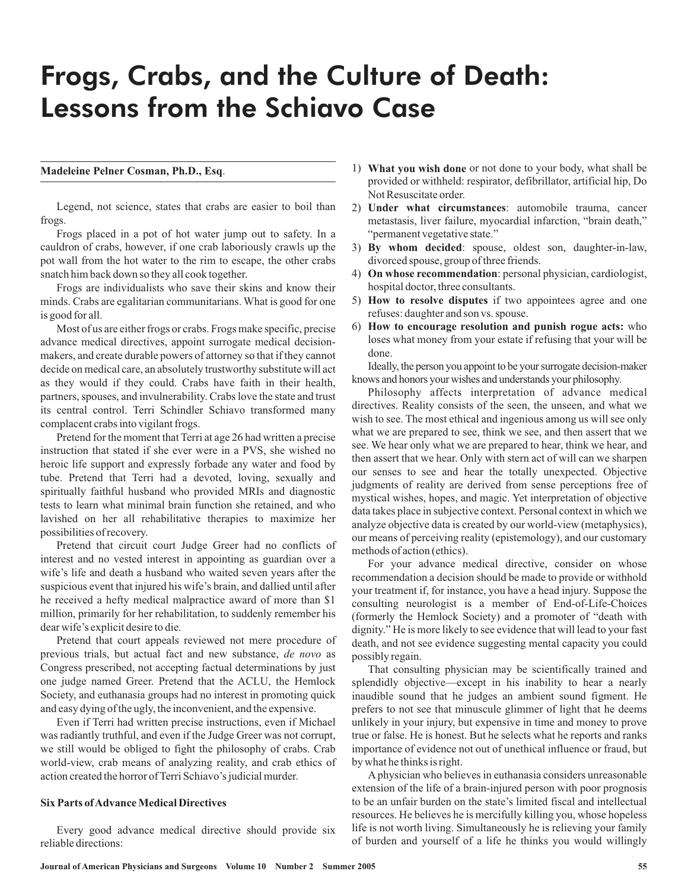# Frogs, Crabs, and the Culture of Death: Lessons from the Schiavo Case

## **Madeleine Pelner Cosman, Ph.D., Esq**.

Legend, not science, states that crabs are easier to boil than frogs.

Frogs placed in a pot of hot water jump out to safety. In a cauldron of crabs, however, if one crab laboriously crawls up the pot wall from the hot water to the rim to escape, the other crabs snatch him back down so they all cook together.

Frogs are individualists who save their skins and know their minds. Crabs are egalitarian communitarians. What is good for one is good for all.

Most of us are either frogs or crabs. Frogs make specific, precise advance medical directives, appoint surrogate medical decisionmakers, and create durable powers of attorney so that if they cannot decide on medical care, an absolutely trustworthy substitute will act as they would if they could. Crabs have faith in their health, partners, spouses, and invulnerability. Crabs love the state and trust its central control. Terri Schindler Schiavo transformed many complacent crabs into vigilant frogs.

Pretend for the moment that Terri at age 26 had written a precise instruction that stated if she ever were in a PVS, she wished no heroic life support and expressly forbade any water and food by tube. Pretend that Terri had a devoted, loving, sexually and spiritually faithful husband who provided MRIs and diagnostic tests to learn what minimal brain function she retained, and who lavished on her all rehabilitative therapies to maximize her possibilities of recovery.

Pretend that circuit court Judge Greer had no conflicts of interest and no vested interest in appointing as guardian over a wife's life and death a husband who waited seven years after the suspicious event that injured his wife's brain, and dallied until after he received a hefty medical malpractice award of more than \$1 million, primarily for her rehabilitation, to suddenly remember his dear wife's explicit desire to die.

Pretend that court appeals reviewed not mere procedure of previous trials, but actual fact and new substance, de novo as Congress prescribed, not accepting factual determinations by just one judge named Greer. Pretend that the ACLU, the Hemlock Society, and euthanasia groups had no interest in promoting quick and easy dying of the ugly, the inconvenient, and the expensive.

Even if Terri had written precise instructions, even if Michael was radiantly truthful, and even if the Judge Greer was not corrupt, we still would be obliged to fight the philosophy of crabs. Crab world-view, crab means of analyzing reality, and crab ethics of action created the horror of Terri Schiavo's judicial murder.

### **Six Parts ofAdvanceMedical Directives**

Every good advance medical directive should provide six reliable directions:

- 1) What you wish done or not done to your body, what shall be provided or withheld: respirator, defibrillator, artificial hip, Do Not Resuscitate order.
- 2) Under what circumstances: automobile trauma, cancer metastasis, liver failure, myocardial infarction, "brain death," "permanent vegetative state."
- 3) By whom decided: spouse, oldest son, daughter-in-law, divorced spouse, group of three friends.
- 4) On whose recommendation: personal physician, cardiologist, hospital doctor, three consultants.
- 5) How to resolve disputes if two appointees agree and one refuses: daughter and son vs. spouse.
- 6) How to encourage resolution and punish rogue acts: who loses what money from your estate if refusing that your will be done.

Ideally, the person you appoint to be your surrogate decision-maker knows and honors your wishes and understands your philosophy.

Philosophy affects interpretation of advance medical directives. Reality consists of the seen, the unseen, and what we wish to see. The most ethical and ingenious among us will see only what we are prepared to see, think we see, and then assert that we see. We hear only what we are prepared to hear, think we hear, and then assert that we hear. Only with stern act of will can we sharpen our senses to see and hear the totally unexpected. Objective judgments of reality are derived from sense perceptions free of mystical wishes, hopes, and magic. Yet interpretation of objective data takes place in subjective context. Personal context in which we analyze objective data is created by our world-view (metaphysics), our means of perceiving reality (epistemology), and our customary methods of action (ethics).

For your advance medical directive, consider on whose recommendation a decision should be made to provide or withhold your treatment if, for instance, you have a head injury. Suppose the consulting neurologist is a member of End-of-Life-Choices (formerly the Hemlock Society) and a promoter of "death with dignity." He is more likely to see evidence that will lead to your fast death, and not see evidence suggesting mental capacity you could possibly regain.

That consulting physician may be scientifically trained and splendidly objective—except in his inability to hear a nearly inaudible sound that he judges an ambient sound figment. He prefers to not see that minuscule glimmer of light that he deems unlikely in your injury, but expensive in time and money to prove true or false. He is honest. But he selects what he reports and ranks importance of evidence not out of unethical influence or fraud, but by what he thinks is right.

A physician who believes in euthanasia considers unreasonable extension of the life of a brain-injured person with poor prognosis to be an unfair burden on the state's limited fiscal and intellectual resources. He believes he is mercifully killing you, whose hopeless life is not worth living. Simultaneously he is relieving your family of burden and yourself of a life he thinks you would willingly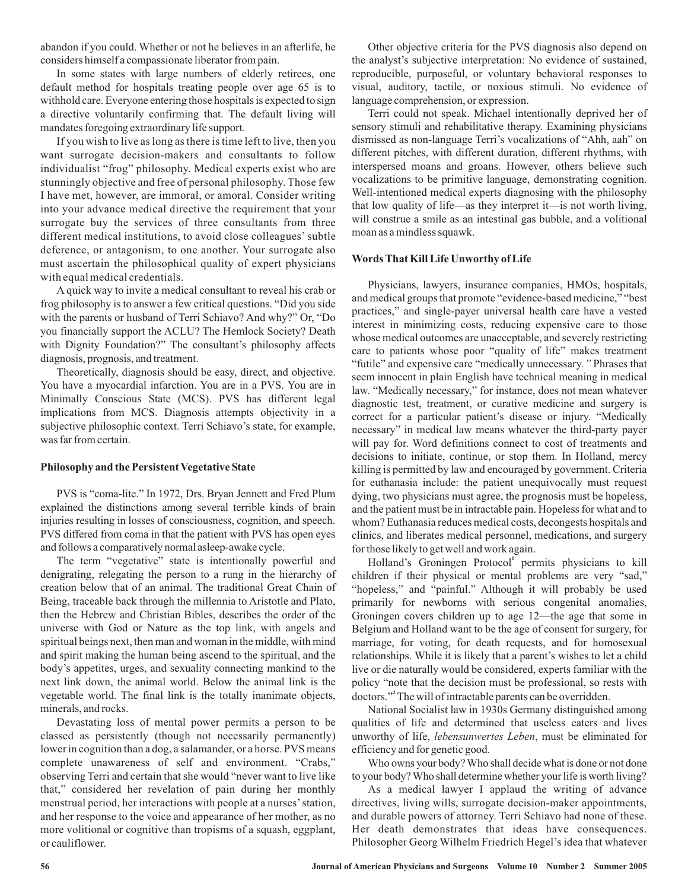abandon if you could. Whether or not he believes in an afterlife, he considers himself a compassionate liberator from pain.

In some states with large numbers of elderly retirees, one default method for hospitals treating people over age 65 is to withhold care. Everyone entering those hospitals is expected to sign a directive voluntarily confirming that. The default living will mandates foregoing extraordinary life support.

If you wish to live as long as there is time left to live, then you want surrogate decision-makers and consultants to follow individualist "frog" philosophy. Medical experts exist who are stunningly objective and free of personal philosophy. Those few I have met, however, are immoral, or amoral. Consider writing into your advance medical directive the requirement that your surrogate buy the services of three consultants from three different medical institutions, to avoid close colleagues' subtle deference, or antagonism, to one another. Your surrogate also must ascertain the philosophical quality of expert physicians with equal medical credentials.

A quick way to invite a medical consultant to reveal his crab or frog philosophy is to answer a few critical questions. "Did you side with the parents or husband of Terri Schiavo? And why?" Or, "Do you financially support the ACLU? The Hemlock Society? Death with Dignity Foundation?" The consultant's philosophy affects diagnosis, prognosis, and treatment.

Theoretically, diagnosis should be easy, direct, and objective. You have a myocardial infarction. You are in a PVS. You are in Minimally Conscious State (MCS). PVS has different legal implications from MCS. Diagnosis attempts objectivity in a subjective philosophic context. Terri Schiavo's state, for example, was far from certain.

## **Philosophy and the Persistent Vegetative State**

PVS is "coma-lite." In 1972, Drs. Bryan Jennett and Fred Plum explained the distinctions among several terrible kinds of brain injuries resulting in losses of consciousness, cognition, and speech. PVS differed from coma in that the patient with PVS has open eyes and follows a comparatively normal asleep-awake cycle.

The term "vegetative" state is intentionally powerful and denigrating, relegating the person to a rung in the hierarchy of creation below that of an animal. The traditional Great Chain of Being, traceable back through the millennia to Aristotle and Plato, then the Hebrew and Christian Bibles, describes the order of the universe with God or Nature as the top link, with angels and spiritual beings next, then man and woman in the middle, with mind and spirit making the human being ascend to the spiritual, and the body's appetites, urges, and sexuality connecting mankind to the next link down, the animal world. Below the animal link is the vegetable world. The final link is the totally inanimate objects, minerals, and rocks.

Devastating loss of mental power permits a person to be classed as persistently (though not necessarily permanently) lower in cognition than a dog, a salamander, or a horse. PVS means complete unawareness of self and environment. "Crabs," observing Terri and certain that she would "never want to live like that," considered her revelation of pain during her monthly menstrual period, her interactions with people at a nurses' station, and her response to the voice and appearance of her mother, as no more volitional or cognitive than tropisms of a squash, eggplant, or cauliflower.

Other objective criteria for the PVS diagnosis also depend on the analyst's subjective interpretation: No evidence of sustained, reproducible, purposeful, or voluntary behavioral responses to visual, auditory, tactile, or noxious stimuli. No evidence of language comprehension, or expression.

Terri could not speak. Michael intentionally deprived her of sensory stimuli and rehabilitative therapy. Examining physicians dismissed as non-language Terri's vocalizations of "Ahh, aah" on different pitches, with different duration, different rhythms, with interspersed moans and groans. However, others believe such vocalizations to be primitive language, demonstrating cognition. Well-intentioned medical experts diagnosing with the philosophy that low quality of life—as they interpret it—is not worth living, will construe a smile as an intestinal gas bubble, and a volitional moan as a mindless squawk.

## **WordsThat Kill Life Unworthy of Life**

Physicians, lawyers, insurance companies, HMOs, hospitals, and medical groups that promote "evidence-based medicine," "best practices," and single-payer universal health care have a vested interest in minimizing costs, reducing expensive care to those whose medical outcomes are unacceptable, and severely restricting care to patients whose poor "quality of life" makes treatment "futile" and expensive care "medically unnecessary." Phrases that seem innocent in plain English have technical meaning in medical law. "Medically necessary," for instance, does not mean whatever diagnostic test, treatment, or curative medicine and surgery is correct for a particular patient's disease or injury. "Medically necessary" in medical law means whatever the third-party payer will pay for. Word definitions connect to cost of treatments and decisions to initiate, continue, or stop them. In Holland, mercy killing is permitted by law and encouraged by government. Criteria for euthanasia include: the patient unequivocally must request dying, two physicians must agree, the prognosis must be hopeless, and the patient must be in intractable pain. Hopeless for what and to whom? Euthanasia reduces medical costs, decongests hospitals and clinics, and liberates medical personnel, medications, and surgery for those likely to get well and work again.

Holland's Groningen Protocol<sup>1</sup> permits physicians to kill children if their physical or mental problems are very "sad," "hopeless," and "painful." Although it will probably be used primarily for newborns with serious congenital anomalies, Groningen covers children up to age 12—the age that some in Belgium and Holland want to be the age of consent for surgery, for marriage, for voting, for death requests, and for homosexual relationships. While it is likely that a parent's wishes to let a child live or die naturally would be considered, experts familiar with the policy "note that the decision must be professional, so rests with doctors."<sup>2</sup> The will of intractable parents can be overridden.

National Socialist law in 1930s Germany distinguished among qualities of life and determined that useless eaters and lives unworthy of life, *lebensunwertes Leben*, must be eliminated for efficiency and for genetic good.

Who owns your body?Who shall decide what is done or not done to your body?Who shall determine whether your life is worth living?

As a medical lawyer I applaud the writing of advance directives, living wills, surrogate decision-maker appointments, and durable powers of attorney. Terri Schiavo had none of these. Her death demonstrates that ideas have consequences. Philosopher Georg Wilhelm Friedrich Hegel's idea that whatever